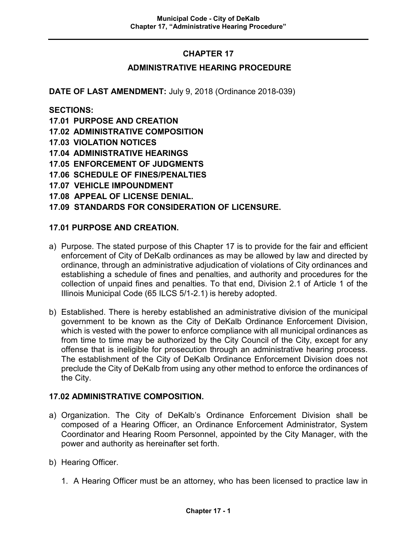# **CHAPTER 17**

#### **ADMINISTRATIVE HEARING PROCEDURE**

**DATE OF LAST AMENDMENT:** July 9, 2018 (Ordinance 2018-039)

**SECTIONS:**

- **17.01 PURPOSE AND CREATION**
- **17.02 ADMINISTRATIVE COMPOSITION**
- **17.03 VIOLATION NOTICES**
- **17.04 ADMINISTRATIVE HEARINGS**
- **17.05 ENFORCEMENT OF JUDGMENTS**
- **17.06 SCHEDULE OF FINES/PENALTIES**
- **17.07 VEHICLE IMPOUNDMENT**
- **17.08 APPEAL OF LICENSE DENIAL.**

#### **17.09 STANDARDS FOR CONSIDERATION OF LICENSURE.**

#### **17.01 PURPOSE AND CREATION.**

- a) Purpose. The stated purpose of this Chapter 17 is to provide for the fair and efficient enforcement of City of DeKalb ordinances as may be allowed by law and directed by ordinance, through an administrative adjudication of violations of City ordinances and establishing a schedule of fines and penalties, and authority and procedures for the collection of unpaid fines and penalties. To that end, Division 2.1 of Article 1 of the Illinois Municipal Code (65 ILCS 5/1-2.1) is hereby adopted.
- b) Established. There is hereby established an administrative division of the municipal government to be known as the City of DeKalb Ordinance Enforcement Division, which is vested with the power to enforce compliance with all municipal ordinances as from time to time may be authorized by the City Council of the City, except for any offense that is ineligible for prosecution through an administrative hearing process. The establishment of the City of DeKalb Ordinance Enforcement Division does not preclude the City of DeKalb from using any other method to enforce the ordinances of the City.

#### **17.02 ADMINISTRATIVE COMPOSITION.**

- a) Organization. The City of DeKalb's Ordinance Enforcement Division shall be composed of a Hearing Officer, an Ordinance Enforcement Administrator, System Coordinator and Hearing Room Personnel, appointed by the City Manager, with the power and authority as hereinafter set forth.
- b) Hearing Officer.
	- 1. A Hearing Officer must be an attorney, who has been licensed to practice law in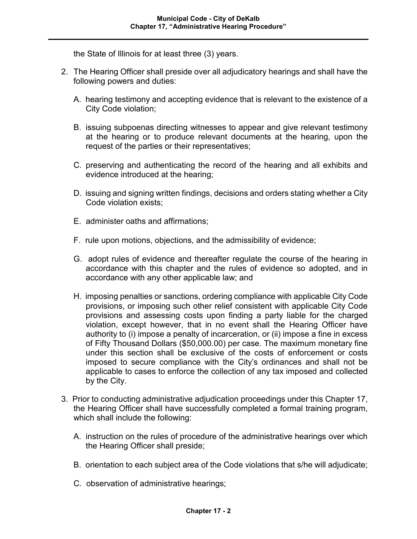the State of Illinois for at least three (3) years.

- 2. The Hearing Officer shall preside over all adjudicatory hearings and shall have the following powers and duties:
	- A. hearing testimony and accepting evidence that is relevant to the existence of a City Code violation;
	- B. issuing subpoenas directing witnesses to appear and give relevant testimony at the hearing or to produce relevant documents at the hearing, upon the request of the parties or their representatives;
	- C. preserving and authenticating the record of the hearing and all exhibits and evidence introduced at the hearing;
	- D. issuing and signing written findings, decisions and orders stating whether a City Code violation exists;
	- E. administer oaths and affirmations;
	- F. rule upon motions, objections, and the admissibility of evidence;
	- G. adopt rules of evidence and thereafter regulate the course of the hearing in accordance with this chapter and the rules of evidence so adopted, and in accordance with any other applicable law; and
	- H. imposing penalties or sanctions, ordering compliance with applicable City Code provisions, or imposing such other relief consistent with applicable City Code provisions and assessing costs upon finding a party liable for the charged violation, except however, that in no event shall the Hearing Officer have authority to (i) impose a penalty of incarceration, or (ii) impose a fine in excess of Fifty Thousand Dollars (\$50,000.00) per case. The maximum monetary fine under this section shall be exclusive of the costs of enforcement or costs imposed to secure compliance with the City's ordinances and shall not be applicable to cases to enforce the collection of any tax imposed and collected by the City.
- 3. Prior to conducting administrative adjudication proceedings under this Chapter 17, the Hearing Officer shall have successfully completed a formal training program, which shall include the following:
	- A. instruction on the rules of procedure of the administrative hearings over which the Hearing Officer shall preside;
	- B. orientation to each subject area of the Code violations that s/he will adjudicate;
	- C. observation of administrative hearings;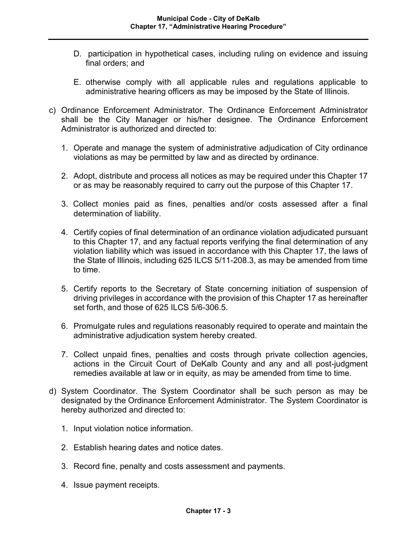- D. participation in hypothetical cases, including ruling on evidence and issuing final orders; and
- E. otherwise comply with all applicable rules and regulations applicable to administrative hearing officers as may be imposed by the State of Illinois.
- c) Ordinance Enforcement Administrator. The Ordinance Enforcement Administrator shall be the City Manager or his/her designee. The Ordinance Enforcement Administrator is authorized and directed to:
	- 1. Operate and manage the system of administrative adjudication of City ordinance violations as may be permitted by law and as directed by ordinance.
	- 2. Adopt, distribute and process all notices as may be required under this Chapter 17 or as may be reasonably required to carry out the purpose of this Chapter 17.
	- 3. Collect monies paid as fines, penalties and/or costs assessed after a final determination of liability.
	- 4. Certify copies of final determination of an ordinance violation adjudicated pursuant to this Chapter 17, and any factual reports verifying the final determination of any violation liability which was issued in accordance with this Chapter 17, the laws of the State of Illinois, including 625 ILCS 5/11-208.3, as may be amended from time to time.
	- 5. Certify reports to the Secretary of State concerning initiation of suspension of driving privileges in accordance with the provision of this Chapter 17 as hereinafter set forth, and those of 625 ILCS 5/6-306.5.
	- 6. Promulgate rules and regulations reasonably required to operate and maintain the administrative adjudication system hereby created.
	- 7. Collect unpaid fines, penalties and costs through private collection agencies, actions in the Circuit Court of DeKalb County and any and all post-judgment remedies available at law or in equity, as may be amended from time to time.
- d) System Coordinator. The System Coordinator shall be such person as may be designated by the Ordinance Enforcement Administrator. The System Coordinator is hereby authorized and directed to:
	- 1. Input violation notice information.
	- 2. Establish hearing dates and notice dates.
	- 3. Record fine, penalty and costs assessment and payments.
	- 4. Issue payment receipts.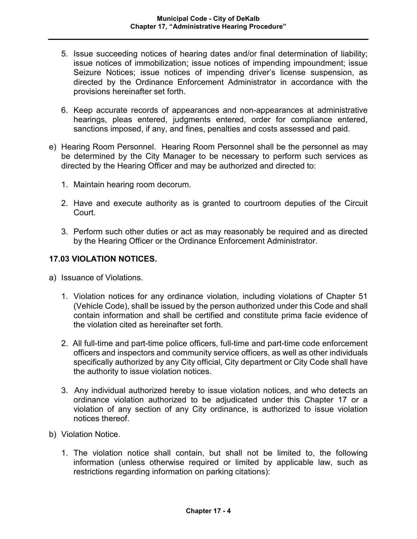- 5. Issue succeeding notices of hearing dates and/or final determination of liability; issue notices of immobilization; issue notices of impending impoundment; issue Seizure Notices; issue notices of impending driver's license suspension, as directed by the Ordinance Enforcement Administrator in accordance with the provisions hereinafter set forth.
- 6. Keep accurate records of appearances and non-appearances at administrative hearings, pleas entered, judgments entered, order for compliance entered, sanctions imposed, if any, and fines, penalties and costs assessed and paid.
- e) Hearing Room Personnel. Hearing Room Personnel shall be the personnel as may be determined by the City Manager to be necessary to perform such services as directed by the Hearing Officer and may be authorized and directed to:
	- 1. Maintain hearing room decorum.
	- 2. Have and execute authority as is granted to courtroom deputies of the Circuit Court.
	- 3. Perform such other duties or act as may reasonably be required and as directed by the Hearing Officer or the Ordinance Enforcement Administrator.

## **17.03 VIOLATION NOTICES.**

- a) Issuance of Violations.
	- 1. Violation notices for any ordinance violation, including violations of Chapter 51 (Vehicle Code), shall be issued by the person authorized under this Code and shall contain information and shall be certified and constitute prima facie evidence of the violation cited as hereinafter set forth.
	- 2. All full-time and part-time police officers, full-time and part-time code enforcement officers and inspectors and community service officers, as well as other individuals specifically authorized by any City official, City department or City Code shall have the authority to issue violation notices.
	- 3. Any individual authorized hereby to issue violation notices, and who detects an ordinance violation authorized to be adjudicated under this Chapter 17 or a violation of any section of any City ordinance, is authorized to issue violation notices thereof.
- b) Violation Notice.
	- 1. The violation notice shall contain, but shall not be limited to, the following information (unless otherwise required or limited by applicable law, such as restrictions regarding information on parking citations):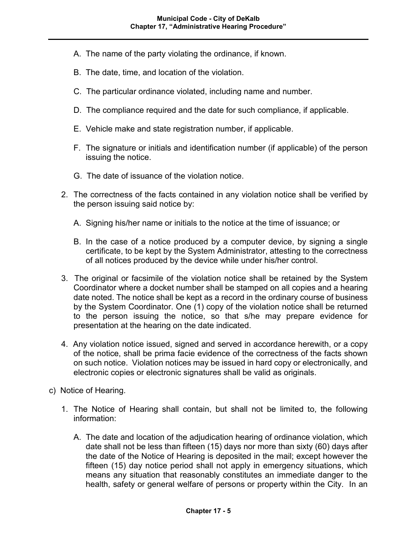- A. The name of the party violating the ordinance, if known.
- B. The date, time, and location of the violation.
- C. The particular ordinance violated, including name and number.
- D. The compliance required and the date for such compliance, if applicable.
- E. Vehicle make and state registration number, if applicable.
- F. The signature or initials and identification number (if applicable) of the person issuing the notice.
- G. The date of issuance of the violation notice.
- 2. The correctness of the facts contained in any violation notice shall be verified by the person issuing said notice by:
	- A. Signing his/her name or initials to the notice at the time of issuance; or
	- B. In the case of a notice produced by a computer device, by signing a single certificate, to be kept by the System Administrator, attesting to the correctness of all notices produced by the device while under his/her control.
- 3. The original or facsimile of the violation notice shall be retained by the System Coordinator where a docket number shall be stamped on all copies and a hearing date noted. The notice shall be kept as a record in the ordinary course of business by the System Coordinator. One (1) copy of the violation notice shall be returned to the person issuing the notice, so that s/he may prepare evidence for presentation at the hearing on the date indicated.
- 4. Any violation notice issued, signed and served in accordance herewith, or a copy of the notice, shall be prima facie evidence of the correctness of the facts shown on such notice. Violation notices may be issued in hard copy or electronically, and electronic copies or electronic signatures shall be valid as originals.
- c) Notice of Hearing.
	- 1. The Notice of Hearing shall contain, but shall not be limited to, the following information:
		- A. The date and location of the adjudication hearing of ordinance violation, which date shall not be less than fifteen (15) days nor more than sixty (60) days after the date of the Notice of Hearing is deposited in the mail; except however the fifteen (15) day notice period shall not apply in emergency situations, which means any situation that reasonably constitutes an immediate danger to the health, safety or general welfare of persons or property within the City. In an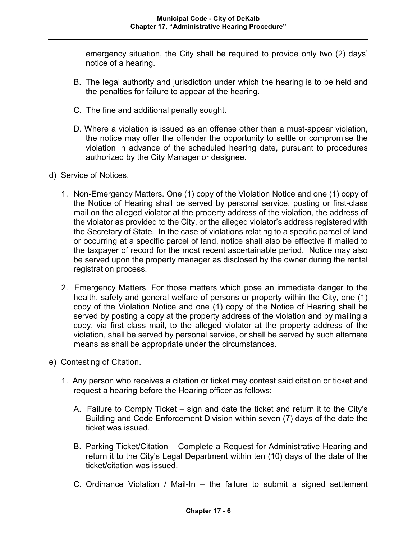emergency situation, the City shall be required to provide only two (2) days' notice of a hearing.

- B. The legal authority and jurisdiction under which the hearing is to be held and the penalties for failure to appear at the hearing.
- C. The fine and additional penalty sought.
- D. Where a violation is issued as an offense other than a must-appear violation, the notice may offer the offender the opportunity to settle or compromise the violation in advance of the scheduled hearing date, pursuant to procedures authorized by the City Manager or designee.
- d) Service of Notices.
	- 1. Non-Emergency Matters. One (1) copy of the Violation Notice and one (1) copy of the Notice of Hearing shall be served by personal service, posting or first-class mail on the alleged violator at the property address of the violation, the address of the violator as provided to the City, or the alleged violator's address registered with the Secretary of State. In the case of violations relating to a specific parcel of land or occurring at a specific parcel of land, notice shall also be effective if mailed to the taxpayer of record for the most recent ascertainable period. Notice may also be served upon the property manager as disclosed by the owner during the rental registration process.
	- 2. Emergency Matters. For those matters which pose an immediate danger to the health, safety and general welfare of persons or property within the City, one (1) copy of the Violation Notice and one (1) copy of the Notice of Hearing shall be served by posting a copy at the property address of the violation and by mailing a copy, via first class mail, to the alleged violator at the property address of the violation, shall be served by personal service, or shall be served by such alternate means as shall be appropriate under the circumstances.
- e) Contesting of Citation.
	- 1. Any person who receives a citation or ticket may contest said citation or ticket and request a hearing before the Hearing officer as follows:
		- A. Failure to Comply Ticket sign and date the ticket and return it to the City's Building and Code Enforcement Division within seven (7) days of the date the ticket was issued.
		- B. Parking Ticket/Citation Complete a Request for Administrative Hearing and return it to the City's Legal Department within ten (10) days of the date of the ticket/citation was issued.
		- C. Ordinance Violation / Mail-In the failure to submit a signed settlement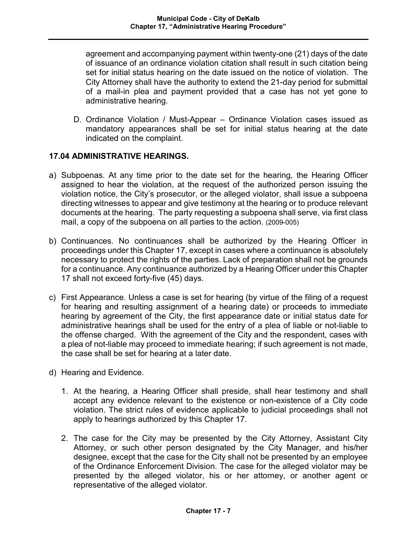agreement and accompanying payment within twenty-one (21) days of the date of issuance of an ordinance violation citation shall result in such citation being set for initial status hearing on the date issued on the notice of violation. The City Attorney shall have the authority to extend the 21-day period for submittal of a mail-in plea and payment provided that a case has not yet gone to administrative hearing.

D. Ordinance Violation / Must-Appear – Ordinance Violation cases issued as mandatory appearances shall be set for initial status hearing at the date indicated on the complaint.

## **17.04 ADMINISTRATIVE HEARINGS.**

- a) Subpoenas. At any time prior to the date set for the hearing, the Hearing Officer assigned to hear the violation, at the request of the authorized person issuing the violation notice, the City's prosecutor, or the alleged violator, shall issue a subpoena directing witnesses to appear and give testimony at the hearing or to produce relevant documents at the hearing. The party requesting a subpoena shall serve, via first class mail, a copy of the subpoena on all parties to the action. (2009-005)
- b) Continuances. No continuances shall be authorized by the Hearing Officer in proceedings under this Chapter 17, except in cases where a continuance is absolutely necessary to protect the rights of the parties. Lack of preparation shall not be grounds for a continuance. Any continuance authorized by a Hearing Officer under this Chapter 17 shall not exceed forty-five (45) days.
- c) First Appearance. Unless a case is set for hearing (by virtue of the filing of a request for hearing and resulting assignment of a hearing date) or proceeds to immediate hearing by agreement of the City, the first appearance date or initial status date for administrative hearings shall be used for the entry of a plea of liable or not-liable to the offense charged. With the agreement of the City and the respondent, cases with a plea of not-liable may proceed to immediate hearing; if such agreement is not made, the case shall be set for hearing at a later date.
- d) Hearing and Evidence.
	- 1. At the hearing, a Hearing Officer shall preside, shall hear testimony and shall accept any evidence relevant to the existence or non-existence of a City code violation. The strict rules of evidence applicable to judicial proceedings shall not apply to hearings authorized by this Chapter 17.
	- 2. The case for the City may be presented by the City Attorney, Assistant City Attorney, or such other person designated by the City Manager, and his/her designee, except that the case for the City shall not be presented by an employee of the Ordinance Enforcement Division. The case for the alleged violator may be presented by the alleged violator, his or her attorney, or another agent or representative of the alleged violator.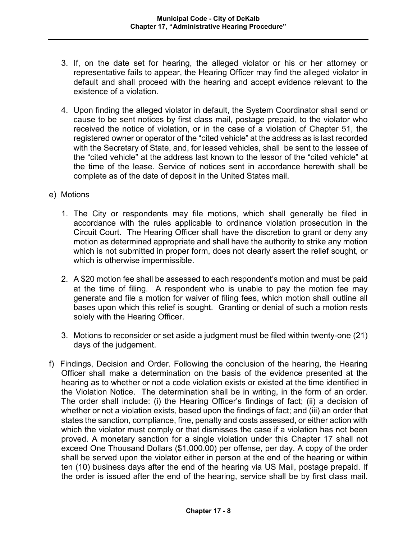- 3. If, on the date set for hearing, the alleged violator or his or her attorney or representative fails to appear, the Hearing Officer may find the alleged violator in default and shall proceed with the hearing and accept evidence relevant to the existence of a violation.
- 4. Upon finding the alleged violator in default, the System Coordinator shall send or cause to be sent notices by first class mail, postage prepaid, to the violator who received the notice of violation, or in the case of a violation of Chapter 51, the registered owner or operator of the "cited vehicle" at the address as is last recorded with the Secretary of State, and, for leased vehicles, shall be sent to the lessee of the "cited vehicle" at the address last known to the lessor of the "cited vehicle" at the time of the lease. Service of notices sent in accordance herewith shall be complete as of the date of deposit in the United States mail.
- e) Motions
	- 1. The City or respondents may file motions, which shall generally be filed in accordance with the rules applicable to ordinance violation prosecution in the Circuit Court. The Hearing Officer shall have the discretion to grant or deny any motion as determined appropriate and shall have the authority to strike any motion which is not submitted in proper form, does not clearly assert the relief sought, or which is otherwise impermissible.
	- 2. A \$20 motion fee shall be assessed to each respondent's motion and must be paid at the time of filing. A respondent who is unable to pay the motion fee may generate and file a motion for waiver of filing fees, which motion shall outline all bases upon which this relief is sought. Granting or denial of such a motion rests solely with the Hearing Officer.
	- 3. Motions to reconsider or set aside a judgment must be filed within twenty-one (21) days of the judgement.
- f) Findings, Decision and Order. Following the conclusion of the hearing, the Hearing Officer shall make a determination on the basis of the evidence presented at the hearing as to whether or not a code violation exists or existed at the time identified in the Violation Notice. The determination shall be in writing, in the form of an order. The order shall include: (i) the Hearing Officer's findings of fact; (ii) a decision of whether or not a violation exists, based upon the findings of fact; and (iii) an order that states the sanction, compliance, fine, penalty and costs assessed, or either action with which the violator must comply or that dismisses the case if a violation has not been proved. A monetary sanction for a single violation under this Chapter 17 shall not exceed One Thousand Dollars (\$1,000.00) per offense, per day. A copy of the order shall be served upon the violator either in person at the end of the hearing or within ten (10) business days after the end of the hearing via US Mail, postage prepaid. If the order is issued after the end of the hearing, service shall be by first class mail.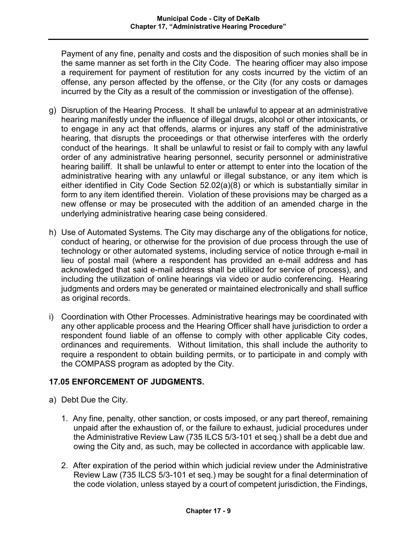Payment of any fine, penalty and costs and the disposition of such monies shall be in the same manner as set forth in the City Code. The hearing officer may also impose a requirement for payment of restitution for any costs incurred by the victim of an offense, any person affected by the offense, or the City (for any costs or damages incurred by the City as a result of the commission or investigation of the offense).

- g) Disruption of the Hearing Process. It shall be unlawful to appear at an administrative hearing manifestly under the influence of illegal drugs, alcohol or other intoxicants, or to engage in any act that offends, alarms or injures any staff of the administrative hearing, that disrupts the proceedings or that otherwise interferes with the orderly conduct of the hearings. It shall be unlawful to resist or fail to comply with any lawful order of any administrative hearing personnel, security personnel or administrative hearing bailiff. It shall be unlawful to enter or attempt to enter into the location of the administrative hearing with any unlawful or illegal substance, or any item which is either identified in City Code Section 52.02(a)(8) or which is substantially similar in form to any item identified therein. Violation of these provisions may be charged as a new offense or may be prosecuted with the addition of an amended charge in the underlying administrative hearing case being considered.
- h) Use of Automated Systems. The City may discharge any of the obligations for notice, conduct of hearing, or otherwise for the provision of due process through the use of technology or other automated systems, including service of notice through e-mail in lieu of postal mail (where a respondent has provided an e-mail address and has acknowledged that said e-mail address shall be utilized for service of process), and including the utilization of online hearings via video or audio conferencing. Hearing judgments and orders may be generated or maintained electronically and shall suffice as original records.
- i) Coordination with Other Processes. Administrative hearings may be coordinated with any other applicable process and the Hearing Officer shall have jurisdiction to order a respondent found liable of an offense to comply with other applicable City codes, ordinances and requirements. Without limitation, this shall include the authority to require a respondent to obtain building permits, or to participate in and comply with the COMPASS program as adopted by the City.

## **17.05 ENFORCEMENT OF JUDGMENTS.**

- a) Debt Due the City.
	- 1. Any fine, penalty, other sanction, or costs imposed, or any part thereof, remaining unpaid after the exhaustion of, or the failure to exhaust, judicial procedures under the Administrative Review Law (735 ILCS 5/3-101 et seq.) shall be a debt due and owing the City and, as such, may be collected in accordance with applicable law.
	- 2. After expiration of the period within which judicial review under the Administrative Review Law (735 ILCS 5/3-101 et seq.) may be sought for a final determination of the code violation, unless stayed by a court of competent jurisdiction, the Findings,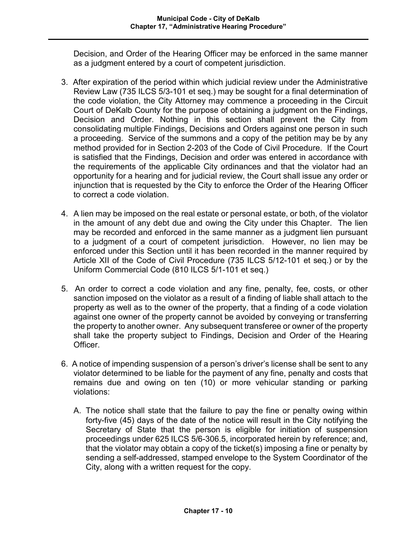Decision, and Order of the Hearing Officer may be enforced in the same manner as a judgment entered by a court of competent jurisdiction.

- 3. After expiration of the period within which judicial review under the Administrative Review Law (735 ILCS 5/3-101 et seq.) may be sought for a final determination of the code violation, the City Attorney may commence a proceeding in the Circuit Court of DeKalb County for the purpose of obtaining a judgment on the Findings, Decision and Order. Nothing in this section shall prevent the City from consolidating multiple Findings, Decisions and Orders against one person in such a proceeding. Service of the summons and a copy of the petition may be by any method provided for in Section 2-203 of the Code of Civil Procedure. If the Court is satisfied that the Findings, Decision and order was entered in accordance with the requirements of the applicable City ordinances and that the violator had an opportunity for a hearing and for judicial review, the Court shall issue any order or injunction that is requested by the City to enforce the Order of the Hearing Officer to correct a code violation.
- 4. A lien may be imposed on the real estate or personal estate, or both, of the violator in the amount of any debt due and owing the City under this Chapter. The lien may be recorded and enforced in the same manner as a judgment lien pursuant to a judgment of a court of competent jurisdiction. However, no lien may be enforced under this Section until it has been recorded in the manner required by Article XII of the Code of Civil Procedure (735 ILCS 5/12-101 et seq.) or by the Uniform Commercial Code (810 ILCS 5/1-101 et seq.)
- 5. An order to correct a code violation and any fine, penalty, fee, costs, or other sanction imposed on the violator as a result of a finding of liable shall attach to the property as well as to the owner of the property, that a finding of a code violation against one owner of the property cannot be avoided by conveying or transferring the property to another owner. Any subsequent transferee or owner of the property shall take the property subject to Findings, Decision and Order of the Hearing Officer.
- 6. A notice of impending suspension of a person's driver's license shall be sent to any violator determined to be liable for the payment of any fine, penalty and costs that remains due and owing on ten (10) or more vehicular standing or parking violations:
	- A. The notice shall state that the failure to pay the fine or penalty owing within forty-five (45) days of the date of the notice will result in the City notifying the Secretary of State that the person is eligible for initiation of suspension proceedings under 625 ILCS 5/6-306.5, incorporated herein by reference; and, that the violator may obtain a copy of the ticket(s) imposing a fine or penalty by sending a self-addressed, stamped envelope to the System Coordinator of the City, along with a written request for the copy.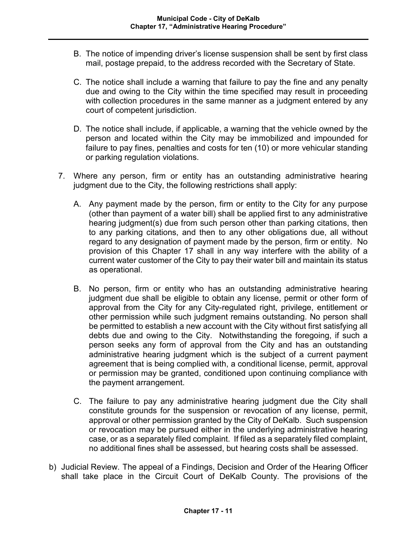- B. The notice of impending driver's license suspension shall be sent by first class mail, postage prepaid, to the address recorded with the Secretary of State.
- C. The notice shall include a warning that failure to pay the fine and any penalty due and owing to the City within the time specified may result in proceeding with collection procedures in the same manner as a judgment entered by any court of competent jurisdiction.
- D. The notice shall include, if applicable, a warning that the vehicle owned by the person and located within the City may be immobilized and impounded for failure to pay fines, penalties and costs for ten (10) or more vehicular standing or parking regulation violations.
- 7. Where any person, firm or entity has an outstanding administrative hearing judgment due to the City, the following restrictions shall apply:
	- A. Any payment made by the person, firm or entity to the City for any purpose (other than payment of a water bill) shall be applied first to any administrative hearing judgment(s) due from such person other than parking citations, then to any parking citations, and then to any other obligations due, all without regard to any designation of payment made by the person, firm or entity. No provision of this Chapter 17 shall in any way interfere with the ability of a current water customer of the City to pay their water bill and maintain its status as operational.
	- B. No person, firm or entity who has an outstanding administrative hearing judgment due shall be eligible to obtain any license, permit or other form of approval from the City for any City-regulated right, privilege, entitlement or other permission while such judgment remains outstanding. No person shall be permitted to establish a new account with the City without first satisfying all debts due and owing to the City. Notwithstanding the foregoing, if such a person seeks any form of approval from the City and has an outstanding administrative hearing judgment which is the subject of a current payment agreement that is being complied with, a conditional license, permit, approval or permission may be granted, conditioned upon continuing compliance with the payment arrangement.
	- C. The failure to pay any administrative hearing judgment due the City shall constitute grounds for the suspension or revocation of any license, permit, approval or other permission granted by the City of DeKalb. Such suspension or revocation may be pursued either in the underlying administrative hearing case, or as a separately filed complaint. If filed as a separately filed complaint, no additional fines shall be assessed, but hearing costs shall be assessed.
- b) Judicial Review. The appeal of a Findings, Decision and Order of the Hearing Officer shall take place in the Circuit Court of DeKalb County. The provisions of the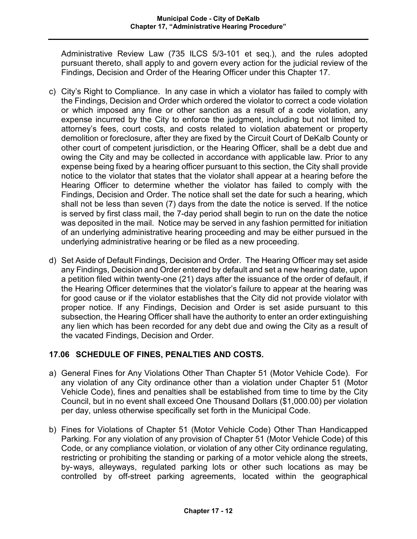Administrative Review Law (735 ILCS 5/3-101 et seq.), and the rules adopted pursuant thereto, shall apply to and govern every action for the judicial review of the Findings, Decision and Order of the Hearing Officer under this Chapter 17.

- c) City's Right to Compliance. In any case in which a violator has failed to comply with the Findings, Decision and Order which ordered the violator to correct a code violation or which imposed any fine or other sanction as a result of a code violation, any expense incurred by the City to enforce the judgment, including but not limited to, attorney's fees, court costs, and costs related to violation abatement or property demolition or foreclosure, after they are fixed by the Circuit Court of DeKalb County or other court of competent jurisdiction, or the Hearing Officer, shall be a debt due and owing the City and may be collected in accordance with applicable law. Prior to any expense being fixed by a hearing officer pursuant to this section, the City shall provide notice to the violator that states that the violator shall appear at a hearing before the Hearing Officer to determine whether the violator has failed to comply with the Findings, Decision and Order. The notice shall set the date for such a hearing, which shall not be less than seven (7) days from the date the notice is served. If the notice is served by first class mail, the 7-day period shall begin to run on the date the notice was deposited in the mail. Notice may be served in any fashion permitted for initiation of an underlying administrative hearing proceeding and may be either pursued in the underlying administrative hearing or be filed as a new proceeding.
- d) Set Aside of Default Findings, Decision and Order. The Hearing Officer may set aside any Findings, Decision and Order entered by default and set a new hearing date, upon a petition filed within twenty-one (21) days after the issuance of the order of default, if the Hearing Officer determines that the violator's failure to appear at the hearing was for good cause or if the violator establishes that the City did not provide violator with proper notice. If any Findings, Decision and Order is set aside pursuant to this subsection, the Hearing Officer shall have the authority to enter an order extinguishing any lien which has been recorded for any debt due and owing the City as a result of the vacated Findings, Decision and Order.

# **17.06 SCHEDULE OF FINES, PENALTIES AND COSTS.**

- a) General Fines for Any Violations Other Than Chapter 51 (Motor Vehicle Code). For any violation of any City ordinance other than a violation under Chapter 51 (Motor Vehicle Code), fines and penalties shall be established from time to time by the City Council, but in no event shall exceed One Thousand Dollars (\$1,000.00) per violation per day, unless otherwise specifically set forth in the Municipal Code.
- b) Fines for Violations of Chapter 51 (Motor Vehicle Code) Other Than Handicapped Parking. For any violation of any provision of Chapter 51 (Motor Vehicle Code) of this Code, or any compliance violation, or violation of any other City ordinance regulating, restricting or prohibiting the standing or parking of a motor vehicle along the streets, by-ways, alleyways, regulated parking lots or other such locations as may be controlled by off-street parking agreements, located within the geographical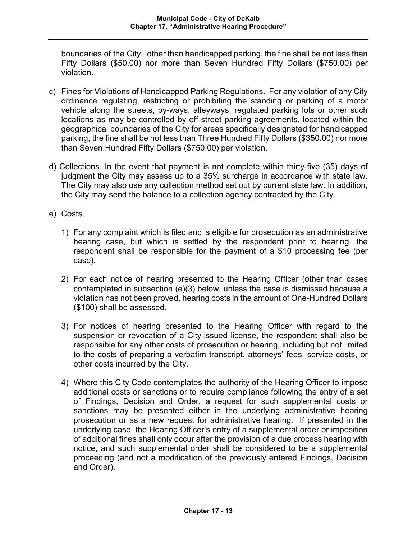boundaries of the City, other than handicapped parking, the fine shall be not less than Fifty Dollars (\$50.00) nor more than Seven Hundred Fifty Dollars (\$750.00) per violation.

- c) Fines for Violations of Handicapped Parking Regulations. For any violation of any City ordinance regulating, restricting or prohibiting the standing or parking of a motor vehicle along the streets, by-ways, alleyways, regulated parking lots or other such locations as may be controlled by off-street parking agreements, located within the geographical boundaries of the City for areas specifically designated for handicapped parking, the fine shall be not less than Three Hundred Fifty Dollars (\$350.00) nor more than Seven Hundred Fifty Dollars (\$750.00) per violation.
- d) Collections. In the event that payment is not complete within thirty-five (35) days of judgment the City may assess up to a 35% surcharge in accordance with state law. The City may also use any collection method set out by current state law. In addition, the City may send the balance to a collection agency contracted by the City.
- e) Costs.
	- 1) For any complaint which is filed and is eligible for prosecution as an administrative hearing case, but which is settled by the respondent prior to hearing, the respondent shall be responsible for the payment of a \$10 processing fee (per case).
	- 2) For each notice of hearing presented to the Hearing Officer (other than cases contemplated in subsection (e)(3) below, unless the case is dismissed because a violation has not been proved, hearing costs in the amount of One-Hundred Dollars (\$100) shall be assessed.
	- 3) For notices of hearing presented to the Hearing Officer with regard to the suspension or revocation of a City-issued license, the respondent shall also be responsible for any other costs of prosecution or hearing, including but not limited to the costs of preparing a verbatim transcript, attorneys' fees, service costs, or other costs incurred by the City.
	- 4) Where this City Code contemplates the authority of the Hearing Officer to impose additional costs or sanctions or to require compliance following the entry of a set of Findings, Decision and Order, a request for such supplemental costs or sanctions may be presented either in the underlying administrative hearing prosecution or as a new request for administrative hearing. If presented in the underlying case, the Hearing Officer's entry of a supplemental order or imposition of additional fines shall only occur after the provision of a due process hearing with notice, and such supplemental order shall be considered to be a supplemental proceeding (and not a modification of the previously entered Findings, Decision and Order).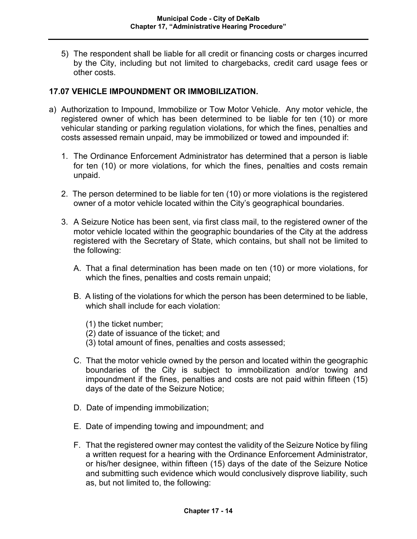5) The respondent shall be liable for all credit or financing costs or charges incurred by the City, including but not limited to chargebacks, credit card usage fees or other costs.

#### **17.07 VEHICLE IMPOUNDMENT OR IMMOBILIZATION.**

- a) Authorization to Impound, Immobilize or Tow Motor Vehicle. Any motor vehicle, the registered owner of which has been determined to be liable for ten (10) or more vehicular standing or parking regulation violations, for which the fines, penalties and costs assessed remain unpaid, may be immobilized or towed and impounded if:
	- 1. The Ordinance Enforcement Administrator has determined that a person is liable for ten (10) or more violations, for which the fines, penalties and costs remain unpaid.
	- 2. The person determined to be liable for ten (10) or more violations is the registered owner of a motor vehicle located within the City's geographical boundaries.
	- 3. A Seizure Notice has been sent, via first class mail, to the registered owner of the motor vehicle located within the geographic boundaries of the City at the address registered with the Secretary of State, which contains, but shall not be limited to the following:
		- A. That a final determination has been made on ten (10) or more violations, for which the fines, penalties and costs remain unpaid;
		- B. A listing of the violations for which the person has been determined to be liable, which shall include for each violation:
			- (1) the ticket number;
			- (2) date of issuance of the ticket; and
			- (3) total amount of fines, penalties and costs assessed;
		- C. That the motor vehicle owned by the person and located within the geographic boundaries of the City is subject to immobilization and/or towing and impoundment if the fines, penalties and costs are not paid within fifteen (15) days of the date of the Seizure Notice;
		- D. Date of impending immobilization;
		- E. Date of impending towing and impoundment; and
		- F. That the registered owner may contest the validity of the Seizure Notice by filing a written request for a hearing with the Ordinance Enforcement Administrator, or his/her designee, within fifteen (15) days of the date of the Seizure Notice and submitting such evidence which would conclusively disprove liability, such as, but not limited to, the following: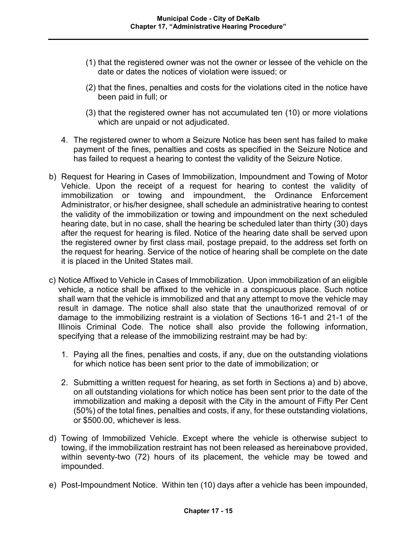- (1) that the registered owner was not the owner or lessee of the vehicle on the date or dates the notices of violation were issued; or
- (2) that the fines, penalties and costs for the violations cited in the notice have been paid in full; or
- (3) that the registered owner has not accumulated ten (10) or more violations which are unpaid or not adjudicated.
- 4. The registered owner to whom a Seizure Notice has been sent has failed to make payment of the fines, penalties and costs as specified in the Seizure Notice and has failed to request a hearing to contest the validity of the Seizure Notice.
- b) Request for Hearing in Cases of Immobilization, Impoundment and Towing of Motor Vehicle. Upon the receipt of a request for hearing to contest the validity of immobilization or towing and impoundment, the Ordinance Enforcement Administrator, or his/her designee, shall schedule an administrative hearing to contest the validity of the immobilization or towing and impoundment on the next scheduled hearing date, but in no case, shall the hearing be scheduled later than thirty (30) days after the request for hearing is filed. Notice of the hearing date shall be served upon the registered owner by first class mail, postage prepaid, to the address set forth on the request for hearing. Service of the notice of hearing shall be complete on the date it is placed in the United States mail.
- c) Notice Affixed to Vehicle in Cases of Immobilization. Upon immobilization of an eligible vehicle, a notice shall be affixed to the vehicle in a conspicuous place. Such notice shall warn that the vehicle is immobilized and that any attempt to move the vehicle may result in damage. The notice shall also state that the unauthorized removal of or damage to the immobilizing restraint is a violation of Sections 16-1 and 21-1 of the Illinois Criminal Code. The notice shall also provide the following information, specifying that a release of the immobilizing restraint may be had by:
	- 1. Paying all the fines, penalties and costs, if any, due on the outstanding violations for which notice has been sent prior to the date of immobilization; or
	- 2. Submitting a written request for hearing, as set forth in Sections a) and b) above, on all outstanding violations for which notice has been sent prior to the date of the immobilization and making a deposit with the City in the amount of Fifty Per Cent (50%) of the total fines, penalties and costs, if any, for these outstanding violations, or \$500.00, whichever is less.
- d) Towing of Immobilized Vehicle. Except where the vehicle is otherwise subject to towing, if the immobilization restraint has not been released as hereinabove provided, within seventy-two (72) hours of its placement, the vehicle may be towed and impounded.
- e) Post-Impoundment Notice. Within ten (10) days after a vehicle has been impounded,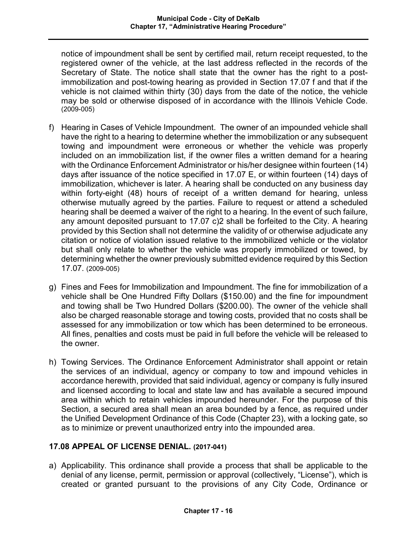notice of impoundment shall be sent by certified mail, return receipt requested, to the registered owner of the vehicle, at the last address reflected in the records of the Secretary of State. The notice shall state that the owner has the right to a postimmobilization and post-towing hearing as provided in Section 17.07 f and that if the vehicle is not claimed within thirty (30) days from the date of the notice, the vehicle may be sold or otherwise disposed of in accordance with the Illinois Vehicle Code. (2009-005)

- f) Hearing in Cases of Vehicle Impoundment. The owner of an impounded vehicle shall have the right to a hearing to determine whether the immobilization or any subsequent towing and impoundment were erroneous or whether the vehicle was properly included on an immobilization list, if the owner files a written demand for a hearing with the Ordinance Enforcement Administrator or his/her designee within fourteen (14) days after issuance of the notice specified in 17.07 E, or within fourteen (14) days of immobilization, whichever is later. A hearing shall be conducted on any business day within forty-eight (48) hours of receipt of a written demand for hearing, unless otherwise mutually agreed by the parties. Failure to request or attend a scheduled hearing shall be deemed a waiver of the right to a hearing. In the event of such failure, any amount deposited pursuant to 17.07 c)2 shall be forfeited to the City. A hearing provided by this Section shall not determine the validity of or otherwise adjudicate any citation or notice of violation issued relative to the immobilized vehicle or the violator but shall only relate to whether the vehicle was properly immobilized or towed, by determining whether the owner previously submitted evidence required by this Section 17.07. (2009-005)
- g) Fines and Fees for Immobilization and Impoundment. The fine for immobilization of a vehicle shall be One Hundred Fifty Dollars (\$150.00) and the fine for impoundment and towing shall be Two Hundred Dollars (\$200.00). The owner of the vehicle shall also be charged reasonable storage and towing costs, provided that no costs shall be assessed for any immobilization or tow which has been determined to be erroneous. All fines, penalties and costs must be paid in full before the vehicle will be released to the owner.
- h) Towing Services. The Ordinance Enforcement Administrator shall appoint or retain the services of an individual, agency or company to tow and impound vehicles in accordance herewith, provided that said individual, agency or company is fully insured and licensed according to local and state law and has available a secured impound area within which to retain vehicles impounded hereunder. For the purpose of this Section, a secured area shall mean an area bounded by a fence, as required under the Unified Development Ordinance of this Code (Chapter 23), with a locking gate, so as to minimize or prevent unauthorized entry into the impounded area.

# **17.08 APPEAL OF LICENSE DENIAL. (2017-041)**

a) Applicability. This ordinance shall provide a process that shall be applicable to the denial of any license, permit, permission or approval (collectively, "License"), which is created or granted pursuant to the provisions of any City Code, Ordinance or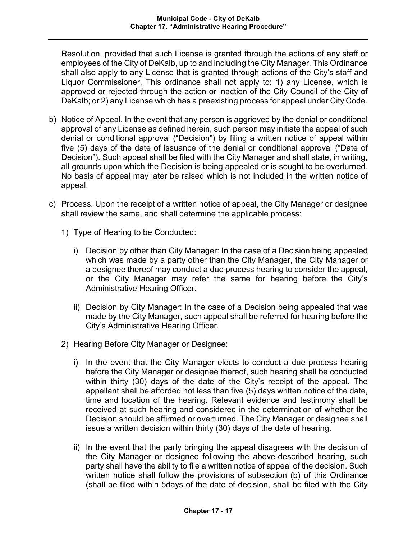Resolution, provided that such License is granted through the actions of any staff or employees of the City of DeKalb, up to and including the City Manager. This Ordinance shall also apply to any License that is granted through actions of the City's staff and Liquor Commissioner. This ordinance shall not apply to: 1) any License, which is approved or rejected through the action or inaction of the City Council of the City of DeKalb; or 2) any License which has a preexisting process for appeal under City Code.

- b) Notice of Appeal. In the event that any person is aggrieved by the denial or conditional approval of any License as defined herein, such person may initiate the appeal of such denial or conditional approval ("Decision") by filing a written notice of appeal within five (5) days of the date of issuance of the denial or conditional approval ("Date of Decision"). Such appeal shall be filed with the City Manager and shall state, in writing, all grounds upon which the Decision is being appealed or is sought to be overturned. No basis of appeal may later be raised which is not included in the written notice of appeal.
- c) Process. Upon the receipt of a written notice of appeal, the City Manager or designee shall review the same, and shall determine the applicable process:
	- 1) Type of Hearing to be Conducted:
		- i) Decision by other than City Manager: In the case of a Decision being appealed which was made by a party other than the City Manager, the City Manager or a designee thereof may conduct a due process hearing to consider the appeal, or the City Manager may refer the same for hearing before the City's Administrative Hearing Officer.
		- ii) Decision by City Manager: In the case of a Decision being appealed that was made by the City Manager, such appeal shall be referred for hearing before the City's Administrative Hearing Officer.
	- 2) Hearing Before City Manager or Designee:
		- i) In the event that the City Manager elects to conduct a due process hearing before the City Manager or designee thereof, such hearing shall be conducted within thirty (30) days of the date of the City's receipt of the appeal. The appellant shall be afforded not less than five (5) days written notice of the date, time and location of the hearing. Relevant evidence and testimony shall be received at such hearing and considered in the determination of whether the Decision should be affirmed or overturned. The City Manager or designee shall issue a written decision within thirty (30) days of the date of hearing.
		- ii) In the event that the party bringing the appeal disagrees with the decision of the City Manager or designee following the above-described hearing, such party shall have the ability to file a written notice of appeal of the decision. Such written notice shall follow the provisions of subsection (b) of this Ordinance (shall be filed within 5days of the date of decision, shall be filed with the City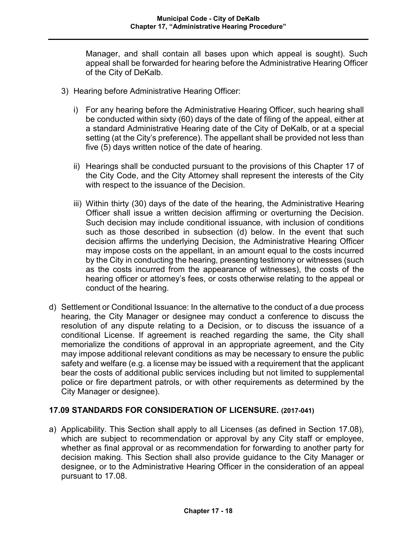Manager, and shall contain all bases upon which appeal is sought). Such appeal shall be forwarded for hearing before the Administrative Hearing Officer of the City of DeKalb.

- 3) Hearing before Administrative Hearing Officer:
	- i) For any hearing before the Administrative Hearing Officer, such hearing shall be conducted within sixty (60) days of the date of filing of the appeal, either at a standard Administrative Hearing date of the City of DeKalb, or at a special setting (at the City's preference). The appellant shall be provided not less than five (5) days written notice of the date of hearing.
	- ii) Hearings shall be conducted pursuant to the provisions of this Chapter 17 of the City Code, and the City Attorney shall represent the interests of the City with respect to the issuance of the Decision.
	- iii) Within thirty (30) days of the date of the hearing, the Administrative Hearing Officer shall issue a written decision affirming or overturning the Decision. Such decision may include conditional issuance, with inclusion of conditions such as those described in subsection (d) below. In the event that such decision affirms the underlying Decision, the Administrative Hearing Officer may impose costs on the appellant, in an amount equal to the costs incurred by the City in conducting the hearing, presenting testimony or witnesses (such as the costs incurred from the appearance of witnesses), the costs of the hearing officer or attorney's fees, or costs otherwise relating to the appeal or conduct of the hearing.
- d) Settlement or Conditional Issuance: In the alternative to the conduct of a due process hearing, the City Manager or designee may conduct a conference to discuss the resolution of any dispute relating to a Decision, or to discuss the issuance of a conditional License. If agreement is reached regarding the same, the City shall memorialize the conditions of approval in an appropriate agreement, and the City may impose additional relevant conditions as may be necessary to ensure the public safety and welfare (e.g. a license may be issued with a requirement that the applicant bear the costs of additional public services including but not limited to supplemental police or fire department patrols, or with other requirements as determined by the City Manager or designee).

## **17.09 STANDARDS FOR CONSIDERATION OF LICENSURE. (2017-041)**

a) Applicability. This Section shall apply to all Licenses (as defined in Section 17.08), which are subject to recommendation or approval by any City staff or employee, whether as final approval or as recommendation for forwarding to another party for decision making. This Section shall also provide guidance to the City Manager or designee, or to the Administrative Hearing Officer in the consideration of an appeal pursuant to 17.08.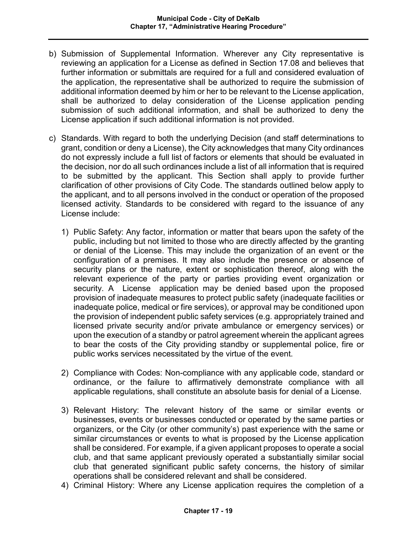- b) Submission of Supplemental Information. Wherever any City representative is reviewing an application for a License as defined in Section 17.08 and believes that further information or submittals are required for a full and considered evaluation of the application, the representative shall be authorized to require the submission of additional information deemed by him or her to be relevant to the License application, shall be authorized to delay consideration of the License application pending submission of such additional information, and shall be authorized to deny the License application if such additional information is not provided.
- c) Standards. With regard to both the underlying Decision (and staff determinations to grant, condition or deny a License), the City acknowledges that many City ordinances do not expressly include a full list of factors or elements that should be evaluated in the decision, nor do all such ordinances include a list of all information that is required to be submitted by the applicant. This Section shall apply to provide further clarification of other provisions of City Code. The standards outlined below apply to the applicant, and to all persons involved in the conduct or operation of the proposed licensed activity. Standards to be considered with regard to the issuance of any License include:
	- 1) Public Safety: Any factor, information or matter that bears upon the safety of the public, including but not limited to those who are directly affected by the granting or denial of the License. This may include the organization of an event or the configuration of a premises. It may also include the presence or absence of security plans or the nature, extent or sophistication thereof, along with the relevant experience of the party or parties providing event organization or security. A License application may be denied based upon the proposed provision of inadequate measures to protect public safety (inadequate facilities or inadequate police, medical or fire services), or approval may be conditioned upon the provision of independent public safety services (e.g. appropriately trained and licensed private security and/or private ambulance or emergency services) or upon the execution of a standby or patrol agreement wherein the applicant agrees to bear the costs of the City providing standby or supplemental police, fire or public works services necessitated by the virtue of the event.
	- 2) Compliance with Codes: Non-compliance with any applicable code, standard or ordinance, or the failure to affirmatively demonstrate compliance with all applicable regulations, shall constitute an absolute basis for denial of a License.
	- 3) Relevant History: The relevant history of the same or similar events or businesses, events or businesses conducted or operated by the same parties or organizers, or the City (or other community's) past experience with the same or similar circumstances or events to what is proposed by the License application shall be considered. For example, if a given applicant proposes to operate a social club, and that same applicant previously operated a substantially similar social club that generated significant public safety concerns, the history of similar operations shall be considered relevant and shall be considered.
	- 4) Criminal History: Where any License application requires the completion of a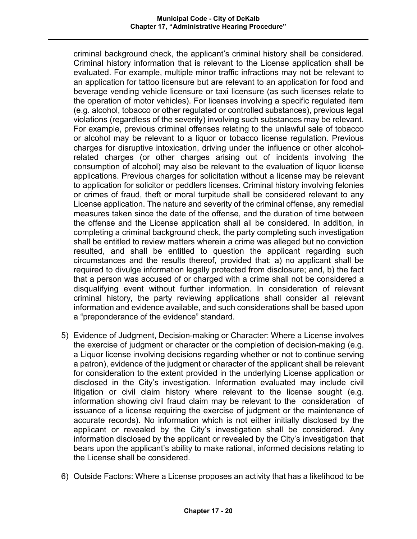criminal background check, the applicant's criminal history shall be considered. Criminal history information that is relevant to the License application shall be evaluated. For example, multiple minor traffic infractions may not be relevant to an application for tattoo licensure but are relevant to an application for food and beverage vending vehicle licensure or taxi licensure (as such licenses relate to the operation of motor vehicles). For licenses involving a specific regulated item (e.g. alcohol, tobacco or other regulated or controlled substances), previous legal violations (regardless of the severity) involving such substances may be relevant. For example, previous criminal offenses relating to the unlawful sale of tobacco or alcohol may be relevant to a liquor or tobacco license regulation. Previous charges for disruptive intoxication, driving under the influence or other alcoholrelated charges (or other charges arising out of incidents involving the consumption of alcohol) may also be relevant to the evaluation of liquor license applications. Previous charges for solicitation without a license may be relevant to application for solicitor or peddlers licenses. Criminal history involving felonies or crimes of fraud, theft or moral turpitude shall be considered relevant to any License application. The nature and severity of the criminal offense, any remedial measures taken since the date of the offense, and the duration of time between the offense and the License application shall all be considered. In addition, in completing a criminal background check, the party completing such investigation shall be entitled to review matters wherein a crime was alleged but no conviction resulted, and shall be entitled to question the applicant regarding such circumstances and the results thereof, provided that: a) no applicant shall be required to divulge information legally protected from disclosure; and, b) the fact that a person was accused of or charged with a crime shall not be considered a disqualifying event without further information. In consideration of relevant criminal history, the party reviewing applications shall consider all relevant information and evidence available, and such considerations shall be based upon a "preponderance of the evidence" standard.

- 5) Evidence of Judgment, Decision-making or Character: Where a License involves the exercise of judgment or character or the completion of decision-making (e.g. a Liquor license involving decisions regarding whether or not to continue serving a patron), evidence of the judgment or character of the applicant shall be relevant for consideration to the extent provided in the underlying License application or disclosed in the City's investigation. Information evaluated may include civil litigation or civil claim history where relevant to the license sought (e.g. information showing civil fraud claim may be relevant to the consideration of issuance of a license requiring the exercise of judgment or the maintenance of accurate records). No information which is not either initially disclosed by the applicant or revealed by the City's investigation shall be considered. Any information disclosed by the applicant or revealed by the City's investigation that bears upon the applicant's ability to make rational, informed decisions relating to the License shall be considered.
- 6) Outside Factors: Where a License proposes an activity that has a likelihood to be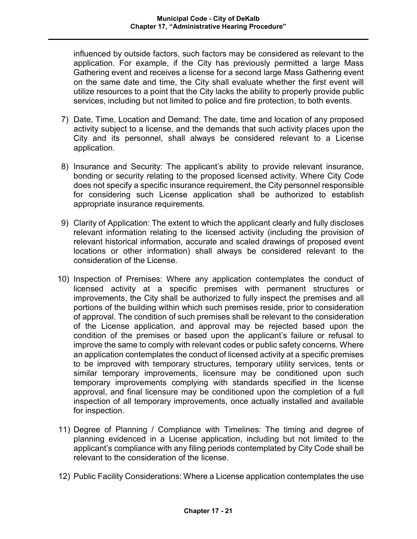influenced by outside factors, such factors may be considered as relevant to the application. For example, if the City has previously permitted a large Mass Gathering event and receives a license for a second large Mass Gathering event on the same date and time, the City shall evaluate whether the first event will utilize resources to a point that the City lacks the ability to properly provide public services, including but not limited to police and fire protection, to both events.

- 7) Date, Time, Location and Demand: The date, time and location of any proposed activity subject to a license, and the demands that such activity places upon the City and its personnel, shall always be considered relevant to a License application.
- 8) Insurance and Security: The applicant's ability to provide relevant insurance, bonding or security relating to the proposed licensed activity. Where City Code does not specify a specific insurance requirement, the City personnel responsible for considering such License application shall be authorized to establish appropriate insurance requirements.
- 9) Clarity of Application: The extent to which the applicant clearly and fully discloses relevant information relating to the licensed activity (including the provision of relevant historical information, accurate and scaled drawings of proposed event locations or other information) shall always be considered relevant to the consideration of the License.
- 10) Inspection of Premises: Where any application contemplates the conduct of licensed activity at a specific premises with permanent structures or improvements, the City shall be authorized to fully inspect the premises and all portions of the building within which such premises reside, prior to consideration of approval. The condition of such premises shall be relevant to the consideration of the License application, and approval may be rejected based upon the condition of the premises or based upon the applicant's failure or refusal to improve the same to comply with relevant codes or public safety concerns. Where an application contemplates the conduct of licensed activity at a specific premises to be improved with temporary structures, temporary utility services, tents or similar temporary improvements, licensure may be conditioned upon such temporary improvements complying with standards specified in the license approval, and final licensure may be conditioned upon the completion of a full inspection of all temporary improvements, once actually installed and available for inspection.
- 11) Degree of Planning / Compliance with Timelines: The timing and degree of planning evidenced in a License application, including but not limited to the applicant's compliance with any filing periods contemplated by City Code shall be relevant to the consideration of the license.
- 12) Public Facility Considerations: Where a License application contemplates the use